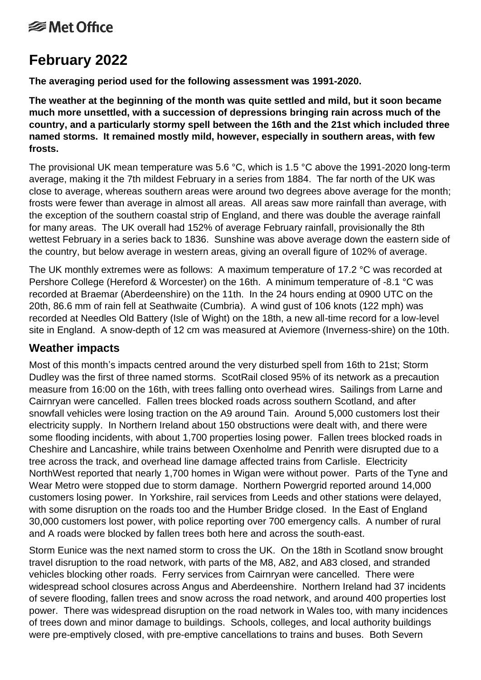# **<del></del>** Met Office

# **February 2022**

**The averaging period used for the following assessment was 1991-2020.**

**The weather at the beginning of the month was quite settled and mild, but it soon became much more unsettled, with a succession of depressions bringing rain across much of the country, and a particularly stormy spell between the 16th and the 21st which included three named storms. It remained mostly mild, however, especially in southern areas, with few frosts.**

The provisional UK mean temperature was 5.6 °C, which is 1.5 °C above the 1991-2020 long-term average, making it the 7th mildest February in a series from 1884. The far north of the UK was close to average, whereas southern areas were around two degrees above average for the month; frosts were fewer than average in almost all areas. All areas saw more rainfall than average, with the exception of the southern coastal strip of England, and there was double the average rainfall for many areas. The UK overall had 152% of average February rainfall, provisionally the 8th wettest February in a series back to 1836. Sunshine was above average down the eastern side of the country, but below average in western areas, giving an overall figure of 102% of average.

The UK monthly extremes were as follows: A maximum temperature of 17.2 °C was recorded at Pershore College (Hereford & Worcester) on the 16th. A minimum temperature of -8.1 °C was recorded at Braemar (Aberdeenshire) on the 11th. In the 24 hours ending at 0900 UTC on the 20th, 86.6 mm of rain fell at Seathwaite (Cumbria). A wind gust of 106 knots (122 mph) was recorded at Needles Old Battery (Isle of Wight) on the 18th, a new all-time record for a low-level site in England. A snow-depth of 12 cm was measured at Aviemore (Inverness-shire) on the 10th.

## **Weather impacts**

Most of this month's impacts centred around the very disturbed spell from 16th to 21st; Storm Dudley was the first of three named storms. ScotRail closed 95% of its network as a precaution measure from 16:00 on the 16th, with trees falling onto overhead wires. Sailings from Larne and Cairnryan were cancelled. Fallen trees blocked roads across southern Scotland, and after snowfall vehicles were losing traction on the A9 around Tain. Around 5,000 customers lost their electricity supply. In Northern Ireland about 150 obstructions were dealt with, and there were some flooding incidents, with about 1,700 properties losing power. Fallen trees blocked roads in Cheshire and Lancashire, while trains between Oxenholme and Penrith were disrupted due to a tree across the track, and overhead line damage affected trains from Carlisle. Electricity NorthWest reported that nearly 1,700 homes in Wigan were without power. Parts of the Tyne and Wear Metro were stopped due to storm damage. Northern Powergrid reported around 14,000 customers losing power. In Yorkshire, rail services from Leeds and other stations were delayed, with some disruption on the roads too and the Humber Bridge closed. In the East of England 30,000 customers lost power, with police reporting over 700 emergency calls. A number of rural and A roads were blocked by fallen trees both here and across the south-east.

Storm Eunice was the next named storm to cross the UK. On the 18th in Scotland snow brought travel disruption to the road network, with parts of the M8, A82, and A83 closed, and stranded vehicles blocking other roads. Ferry services from Cairnryan were cancelled. There were widespread school closures across Angus and Aberdeenshire. Northern Ireland had 37 incidents of severe flooding, fallen trees and snow across the road network, and around 400 properties lost power. There was widespread disruption on the road network in Wales too, with many incidences of trees down and minor damage to buildings. Schools, colleges, and local authority buildings were pre-emptively closed, with pre-emptive cancellations to trains and buses. Both Severn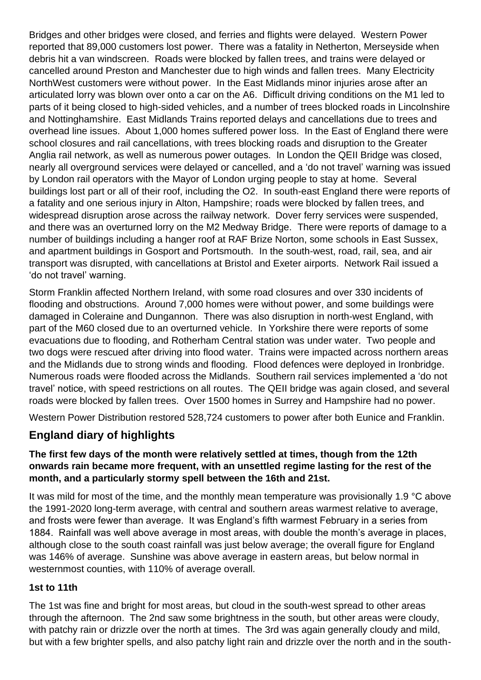Bridges and other bridges were closed, and ferries and flights were delayed. Western Power reported that 89,000 customers lost power. There was a fatality in Netherton, Merseyside when debris hit a van windscreen. Roads were blocked by fallen trees, and trains were delayed or cancelled around Preston and Manchester due to high winds and fallen trees. Many Electricity NorthWest customers were without power. In the East Midlands minor injuries arose after an articulated lorry was blown over onto a car on the A6. Difficult driving conditions on the M1 led to parts of it being closed to high-sided vehicles, and a number of trees blocked roads in Lincolnshire and Nottinghamshire. East Midlands Trains reported delays and cancellations due to trees and overhead line issues. About 1,000 homes suffered power loss. In the East of England there were school closures and rail cancellations, with trees blocking roads and disruption to the Greater Anglia rail network, as well as numerous power outages. In London the QEII Bridge was closed, nearly all overground services were delayed or cancelled, and a 'do not travel' warning was issued by London rail operators with the Mayor of London urging people to stay at home. Several buildings lost part or all of their roof, including the O2. In south-east England there were reports of a fatality and one serious injury in Alton, Hampshire; roads were blocked by fallen trees, and widespread disruption arose across the railway network. Dover ferry services were suspended, and there was an overturned lorry on the M2 Medway Bridge. There were reports of damage to a number of buildings including a hanger roof at RAF Brize Norton, some schools in East Sussex, and apartment buildings in Gosport and Portsmouth. In the south-west, road, rail, sea, and air transport was disrupted, with cancellations at Bristol and Exeter airports. Network Rail issued a 'do not travel' warning.

Storm Franklin affected Northern Ireland, with some road closures and over 330 incidents of flooding and obstructions. Around 7,000 homes were without power, and some buildings were damaged in Coleraine and Dungannon. There was also disruption in north-west England, with part of the M60 closed due to an overturned vehicle. In Yorkshire there were reports of some evacuations due to flooding, and Rotherham Central station was under water. Two people and two dogs were rescued after driving into flood water. Trains were impacted across northern areas and the Midlands due to strong winds and flooding. Flood defences were deployed in Ironbridge. Numerous roads were flooded across the Midlands. Southern rail services implemented a 'do not travel' notice, with speed restrictions on all routes. The QEII bridge was again closed, and several roads were blocked by fallen trees. Over 1500 homes in Surrey and Hampshire had no power.

Western Power Distribution restored 528,724 customers to power after both Eunice and Franklin.

# **England diary of highlights**

#### **The first few days of the month were relatively settled at times, though from the 12th onwards rain became more frequent, with an unsettled regime lasting for the rest of the month, and a particularly stormy spell between the 16th and 21st.**

It was mild for most of the time, and the monthly mean temperature was provisionally 1.9 °C above the 1991-2020 long-term average, with central and southern areas warmest relative to average, and frosts were fewer than average. It was England's fifth warmest February in a series from 1884. Rainfall was well above average in most areas, with double the month's average in places, although close to the south coast rainfall was just below average; the overall figure for England was 146% of average. Sunshine was above average in eastern areas, but below normal in westernmost counties, with 110% of average overall.

#### **1st to 11th**

The 1st was fine and bright for most areas, but cloud in the south-west spread to other areas through the afternoon. The 2nd saw some brightness in the south, but other areas were cloudy, with patchy rain or drizzle over the north at times. The 3rd was again generally cloudy and mild, but with a few brighter spells, and also patchy light rain and drizzle over the north and in the south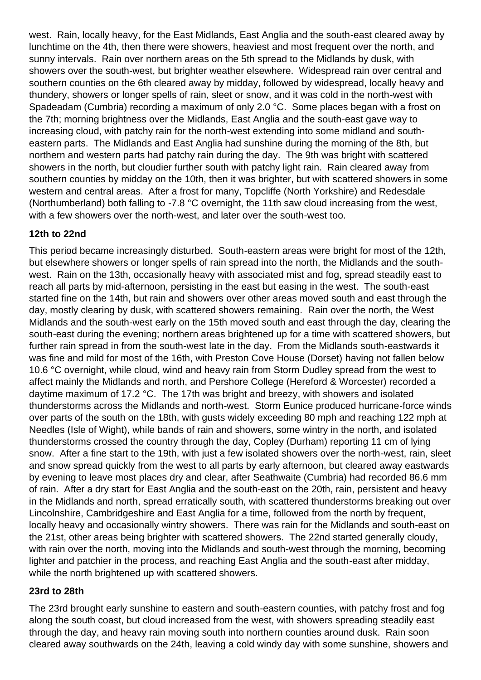west. Rain, locally heavy, for the East Midlands, East Anglia and the south-east cleared away by lunchtime on the 4th, then there were showers, heaviest and most frequent over the north, and sunny intervals. Rain over northern areas on the 5th spread to the Midlands by dusk, with showers over the south-west, but brighter weather elsewhere. Widespread rain over central and southern counties on the 6th cleared away by midday, followed by widespread, locally heavy and thundery, showers or longer spells of rain, sleet or snow, and it was cold in the north-west with Spadeadam (Cumbria) recording a maximum of only 2.0 °C. Some places began with a frost on the 7th; morning brightness over the Midlands, East Anglia and the south-east gave way to increasing cloud, with patchy rain for the north-west extending into some midland and southeastern parts. The Midlands and East Anglia had sunshine during the morning of the 8th, but northern and western parts had patchy rain during the day. The 9th was bright with scattered showers in the north, but cloudier further south with patchy light rain. Rain cleared away from southern counties by midday on the 10th, then it was brighter, but with scattered showers in some western and central areas. After a frost for many, Topcliffe (North Yorkshire) and Redesdale (Northumberland) both falling to -7.8 °C overnight, the 11th saw cloud increasing from the west, with a few showers over the north-west, and later over the south-west too.

### **12th to 22nd**

This period became increasingly disturbed. South-eastern areas were bright for most of the 12th, but elsewhere showers or longer spells of rain spread into the north, the Midlands and the southwest. Rain on the 13th, occasionally heavy with associated mist and fog, spread steadily east to reach all parts by mid-afternoon, persisting in the east but easing in the west. The south-east started fine on the 14th, but rain and showers over other areas moved south and east through the day, mostly clearing by dusk, with scattered showers remaining. Rain over the north, the West Midlands and the south-west early on the 15th moved south and east through the day, clearing the south-east during the evening; northern areas brightened up for a time with scattered showers, but further rain spread in from the south-west late in the day. From the Midlands south-eastwards it was fine and mild for most of the 16th, with Preston Cove House (Dorset) having not fallen below 10.6 °C overnight, while cloud, wind and heavy rain from Storm Dudley spread from the west to affect mainly the Midlands and north, and Pershore College (Hereford & Worcester) recorded a daytime maximum of 17.2 °C. The 17th was bright and breezy, with showers and isolated thunderstorms across the Midlands and north-west. Storm Eunice produced hurricane-force winds over parts of the south on the 18th, with gusts widely exceeding 80 mph and reaching 122 mph at Needles (Isle of Wight), while bands of rain and showers, some wintry in the north, and isolated thunderstorms crossed the country through the day, Copley (Durham) reporting 11 cm of lying snow. After a fine start to the 19th, with just a few isolated showers over the north-west, rain, sleet and snow spread quickly from the west to all parts by early afternoon, but cleared away eastwards by evening to leave most places dry and clear, after Seathwaite (Cumbria) had recorded 86.6 mm of rain. After a dry start for East Anglia and the south-east on the 20th, rain, persistent and heavy in the Midlands and north, spread erratically south, with scattered thunderstorms breaking out over Lincolnshire, Cambridgeshire and East Anglia for a time, followed from the north by frequent, locally heavy and occasionally wintry showers. There was rain for the Midlands and south-east on the 21st, other areas being brighter with scattered showers. The 22nd started generally cloudy, with rain over the north, moving into the Midlands and south-west through the morning, becoming lighter and patchier in the process, and reaching East Anglia and the south-east after midday, while the north brightened up with scattered showers.

#### **23rd to 28th**

The 23rd brought early sunshine to eastern and south-eastern counties, with patchy frost and fog along the south coast, but cloud increased from the west, with showers spreading steadily east through the day, and heavy rain moving south into northern counties around dusk. Rain soon cleared away southwards on the 24th, leaving a cold windy day with some sunshine, showers and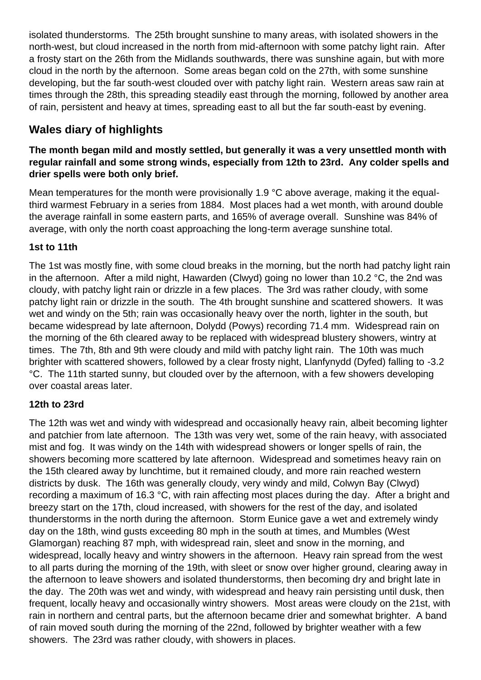isolated thunderstorms. The 25th brought sunshine to many areas, with isolated showers in the north-west, but cloud increased in the north from mid-afternoon with some patchy light rain. After a frosty start on the 26th from the Midlands southwards, there was sunshine again, but with more cloud in the north by the afternoon. Some areas began cold on the 27th, with some sunshine developing, but the far south-west clouded over with patchy light rain. Western areas saw rain at times through the 28th, this spreading steadily east through the morning, followed by another area of rain, persistent and heavy at times, spreading east to all but the far south-east by evening.

# **Wales diary of highlights**

#### **The month began mild and mostly settled, but generally it was a very unsettled month with regular rainfall and some strong winds, especially from 12th to 23rd. Any colder spells and drier spells were both only brief.**

Mean temperatures for the month were provisionally 1.9 °C above average, making it the equalthird warmest February in a series from 1884. Most places had a wet month, with around double the average rainfall in some eastern parts, and 165% of average overall. Sunshine was 84% of average, with only the north coast approaching the long-term average sunshine total.

#### **1st to 11th**

The 1st was mostly fine, with some cloud breaks in the morning, but the north had patchy light rain in the afternoon. After a mild night, Hawarden (Clwyd) going no lower than 10.2 °C, the 2nd was cloudy, with patchy light rain or drizzle in a few places. The 3rd was rather cloudy, with some patchy light rain or drizzle in the south. The 4th brought sunshine and scattered showers. It was wet and windy on the 5th; rain was occasionally heavy over the north, lighter in the south, but became widespread by late afternoon, Dolydd (Powys) recording 71.4 mm. Widespread rain on the morning of the 6th cleared away to be replaced with widespread blustery showers, wintry at times. The 7th, 8th and 9th were cloudy and mild with patchy light rain. The 10th was much brighter with scattered showers, followed by a clear frosty night, Llanfynydd (Dyfed) falling to -3.2 °C. The 11th started sunny, but clouded over by the afternoon, with a few showers developing over coastal areas later.

### **12th to 23rd**

The 12th was wet and windy with widespread and occasionally heavy rain, albeit becoming lighter and patchier from late afternoon. The 13th was very wet, some of the rain heavy, with associated mist and fog. It was windy on the 14th with widespread showers or longer spells of rain, the showers becoming more scattered by late afternoon. Widespread and sometimes heavy rain on the 15th cleared away by lunchtime, but it remained cloudy, and more rain reached western districts by dusk. The 16th was generally cloudy, very windy and mild, Colwyn Bay (Clwyd) recording a maximum of 16.3 °C, with rain affecting most places during the day. After a bright and breezy start on the 17th, cloud increased, with showers for the rest of the day, and isolated thunderstorms in the north during the afternoon. Storm Eunice gave a wet and extremely windy day on the 18th, wind gusts exceeding 80 mph in the south at times, and Mumbles (West Glamorgan) reaching 87 mph, with widespread rain, sleet and snow in the morning, and widespread, locally heavy and wintry showers in the afternoon. Heavy rain spread from the west to all parts during the morning of the 19th, with sleet or snow over higher ground, clearing away in the afternoon to leave showers and isolated thunderstorms, then becoming dry and bright late in the day. The 20th was wet and windy, with widespread and heavy rain persisting until dusk, then frequent, locally heavy and occasionally wintry showers. Most areas were cloudy on the 21st, with rain in northern and central parts, but the afternoon became drier and somewhat brighter. A band of rain moved south during the morning of the 22nd, followed by brighter weather with a few showers. The 23rd was rather cloudy, with showers in places.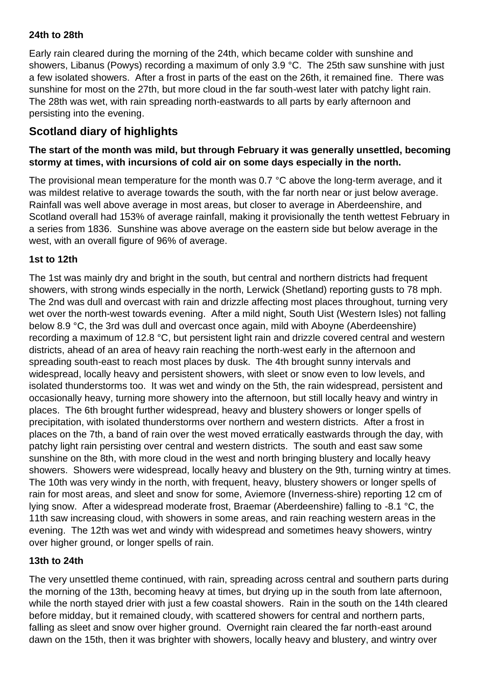#### **24th to 28th**

Early rain cleared during the morning of the 24th, which became colder with sunshine and showers, Libanus (Powys) recording a maximum of only 3.9 °C. The 25th saw sunshine with just a few isolated showers. After a frost in parts of the east on the 26th, it remained fine. There was sunshine for most on the 27th, but more cloud in the far south-west later with patchy light rain. The 28th was wet, with rain spreading north-eastwards to all parts by early afternoon and persisting into the evening.

## **Scotland diary of highlights**

#### **The start of the month was mild, but through February it was generally unsettled, becoming stormy at times, with incursions of cold air on some days especially in the north.**

The provisional mean temperature for the month was 0.7 °C above the long-term average, and it was mildest relative to average towards the south, with the far north near or just below average. Rainfall was well above average in most areas, but closer to average in Aberdeenshire, and Scotland overall had 153% of average rainfall, making it provisionally the tenth wettest February in a series from 1836. Sunshine was above average on the eastern side but below average in the west, with an overall figure of 96% of average.

#### **1st to 12th**

The 1st was mainly dry and bright in the south, but central and northern districts had frequent showers, with strong winds especially in the north, Lerwick (Shetland) reporting gusts to 78 mph. The 2nd was dull and overcast with rain and drizzle affecting most places throughout, turning very wet over the north-west towards evening. After a mild night, South Uist (Western Isles) not falling below 8.9 °C, the 3rd was dull and overcast once again, mild with Aboyne (Aberdeenshire) recording a maximum of 12.8 °C, but persistent light rain and drizzle covered central and western districts, ahead of an area of heavy rain reaching the north-west early in the afternoon and spreading south-east to reach most places by dusk. The 4th brought sunny intervals and widespread, locally heavy and persistent showers, with sleet or snow even to low levels, and isolated thunderstorms too. It was wet and windy on the 5th, the rain widespread, persistent and occasionally heavy, turning more showery into the afternoon, but still locally heavy and wintry in places. The 6th brought further widespread, heavy and blustery showers or longer spells of precipitation, with isolated thunderstorms over northern and western districts. After a frost in places on the 7th, a band of rain over the west moved erratically eastwards through the day, with patchy light rain persisting over central and western districts. The south and east saw some sunshine on the 8th, with more cloud in the west and north bringing blustery and locally heavy showers. Showers were widespread, locally heavy and blustery on the 9th, turning wintry at times. The 10th was very windy in the north, with frequent, heavy, blustery showers or longer spells of rain for most areas, and sleet and snow for some, Aviemore (Inverness-shire) reporting 12 cm of lying snow. After a widespread moderate frost, Braemar (Aberdeenshire) falling to -8.1 °C, the 11th saw increasing cloud, with showers in some areas, and rain reaching western areas in the evening. The 12th was wet and windy with widespread and sometimes heavy showers, wintry over higher ground, or longer spells of rain.

#### **13th to 24th**

The very unsettled theme continued, with rain, spreading across central and southern parts during the morning of the 13th, becoming heavy at times, but drying up in the south from late afternoon, while the north stayed drier with just a few coastal showers. Rain in the south on the 14th cleared before midday, but it remained cloudy, with scattered showers for central and northern parts, falling as sleet and snow over higher ground. Overnight rain cleared the far north-east around dawn on the 15th, then it was brighter with showers, locally heavy and blustery, and wintry over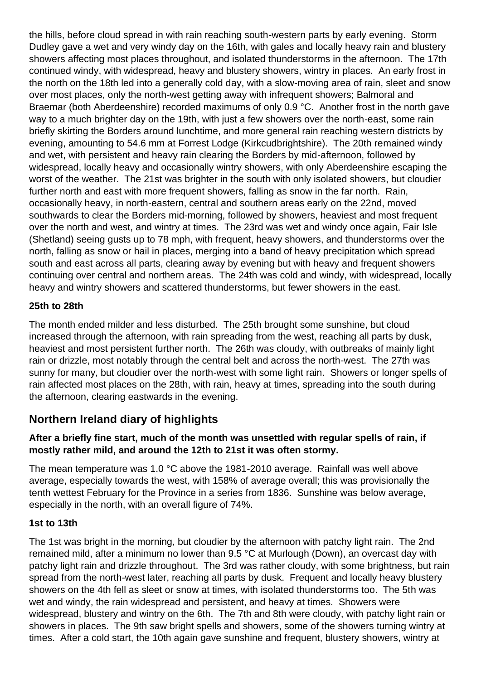the hills, before cloud spread in with rain reaching south-western parts by early evening. Storm Dudley gave a wet and very windy day on the 16th, with gales and locally heavy rain and blustery showers affecting most places throughout, and isolated thunderstorms in the afternoon. The 17th continued windy, with widespread, heavy and blustery showers, wintry in places. An early frost in the north on the 18th led into a generally cold day, with a slow-moving area of rain, sleet and snow over most places, only the north-west getting away with infrequent showers; Balmoral and Braemar (both Aberdeenshire) recorded maximums of only 0.9 °C. Another frost in the north gave way to a much brighter day on the 19th, with just a few showers over the north-east, some rain briefly skirting the Borders around lunchtime, and more general rain reaching western districts by evening, amounting to 54.6 mm at Forrest Lodge (Kirkcudbrightshire). The 20th remained windy and wet, with persistent and heavy rain clearing the Borders by mid-afternoon, followed by widespread, locally heavy and occasionally wintry showers, with only Aberdeenshire escaping the worst of the weather. The 21st was brighter in the south with only isolated showers, but cloudier further north and east with more frequent showers, falling as snow in the far north. Rain, occasionally heavy, in north-eastern, central and southern areas early on the 22nd, moved southwards to clear the Borders mid-morning, followed by showers, heaviest and most frequent over the north and west, and wintry at times. The 23rd was wet and windy once again, Fair Isle (Shetland) seeing gusts up to 78 mph, with frequent, heavy showers, and thunderstorms over the north, falling as snow or hail in places, merging into a band of heavy precipitation which spread south and east across all parts, clearing away by evening but with heavy and frequent showers continuing over central and northern areas. The 24th was cold and windy, with widespread, locally heavy and wintry showers and scattered thunderstorms, but fewer showers in the east.

#### **25th to 28th**

The month ended milder and less disturbed. The 25th brought some sunshine, but cloud increased through the afternoon, with rain spreading from the west, reaching all parts by dusk, heaviest and most persistent further north. The 26th was cloudy, with outbreaks of mainly light rain or drizzle, most notably through the central belt and across the north-west. The 27th was sunny for many, but cloudier over the north-west with some light rain. Showers or longer spells of rain affected most places on the 28th, with rain, heavy at times, spreading into the south during the afternoon, clearing eastwards in the evening.

## **Northern Ireland diary of highlights**

#### **After a briefly fine start, much of the month was unsettled with regular spells of rain, if mostly rather mild, and around the 12th to 21st it was often stormy.**

The mean temperature was 1.0 °C above the 1981-2010 average. Rainfall was well above average, especially towards the west, with 158% of average overall; this was provisionally the tenth wettest February for the Province in a series from 1836. Sunshine was below average, especially in the north, with an overall figure of 74%.

#### **1st to 13th**

The 1st was bright in the morning, but cloudier by the afternoon with patchy light rain. The 2nd remained mild, after a minimum no lower than 9.5 °C at Murlough (Down), an overcast day with patchy light rain and drizzle throughout. The 3rd was rather cloudy, with some brightness, but rain spread from the north-west later, reaching all parts by dusk. Frequent and locally heavy blustery showers on the 4th fell as sleet or snow at times, with isolated thunderstorms too. The 5th was wet and windy, the rain widespread and persistent, and heavy at times. Showers were widespread, blustery and wintry on the 6th. The 7th and 8th were cloudy, with patchy light rain or showers in places. The 9th saw bright spells and showers, some of the showers turning wintry at times. After a cold start, the 10th again gave sunshine and frequent, blustery showers, wintry at